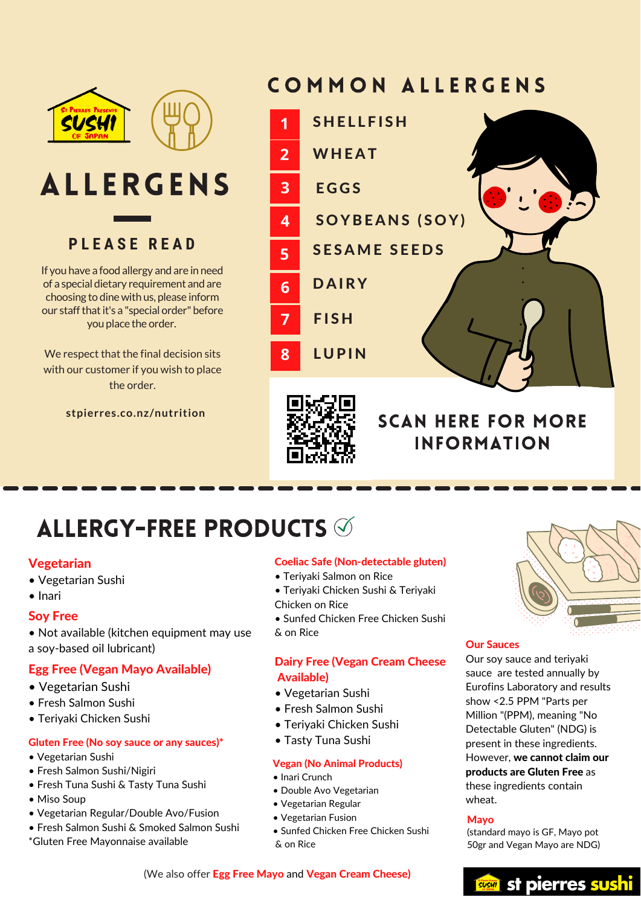

**P L E A S E R E A D P L E A S E R E A D**

If you have a food allergy and are in need of a special dietary requirement and are choosing to dine with us, please inform our staff that it's a "special order" before  $\mathsf{y}$  you place the order. The special order  $\mathsf{y}$ 

We respect that the final decision sits with our customer if you wish to place  $t$  the order. With  $t$  is  $t$  to  $t$ 

**stpierres.co.nz/nutrition**

**P L E A S E R E A D**

# COMMON ALLERGENS





# **SCAN HERE FOR MORE INFORMATION**

### **5**  $\mathcal{S}$

#### **Vegetarian Sushing and are in needed**

- Vegetarian Sushi
- $\alpha$  special $\alpha$  special $\alpha$  special $\alpha$  $\bullet$  Inari

#### $\overline{\phantom{a}}$ Soy Free

• Not available (kitchen equipment may use a soy-based oil lubricant)

#### oy-based oli lubricant)<br>G Exec (Vegen Maye Aveilable) Egg Free (Vegan Mayo Available)

- Vegetarian Sushi
- Fresh Salmon Sushi
- Teriyaki Chicken Sushi

#### Gluten Free (No soy sauce or any sauces)\* • Tasty Tuna Sushi

- $\bullet$  Vegetarian Sushi
- $\bullet$  Fresh Salmon Sushi/Nigiri
- Fresh Tuna Sushi & Tasty Tuna Sushi
- $\bullet$  Miso Soup
- Vegetarian Regular/Double Avo/Fusion
- Fresh Salmon Sushi & Smoked Salmon Sushi
- \*Gluten Free Mayonnaise available

#### Coeliac Safe (Non-detectable gluten)

- $\bullet$  Teriyaki Salmon on Rice
- Teriyaki Chicken Sushi & Teriyaki<br>Chicken en Pice
- **Chicken on Rice**<br>Chicken Chicken Sushing Chicago

• Sunfed Chicken Free Chicken Sushi & on Rice

#### Dairy Free (Vegan Cream Cheese Available)

- Vegetarian Sushi
- Fresh Salmon Sushi
- Teriyaki Chicken Jushi alikuwa samana kata samana samana samana samana samana samana samana samana samana sa<br>• Teriyaki Chicken Jushi
	- Tasty Tuna Sushi

#### **Vegan (No Animal Products)**

- Inari Crunch
- Double Avo Vegetarian
- Vegetarian Regular
- $\bullet$  Vegetarian Fusion
- Sunfed Chicken Free Chicken Sushi & on Rice



#### Our Sauces and terms and terms

Our soy sauce and teriyaki sauce are tested annually by Eurofins Laboratory and results show <2.5 PPM "Parts per Million "(PPM), meaning "No Million "(PPM), meaning "No<br>Detectable Gluten" (NDG) is present in these ingredients. However, we cannot claim our products are Gluten Free as these ingredients contain wheat.

#### (standard mayo is GF, Mayo pot Mayo

(standard mayo is GF, Mayo pot 50gr and Vegan Mayo are NDG)

#### (We also offer Egg Free Mayo and Vegan Cream Cheese)



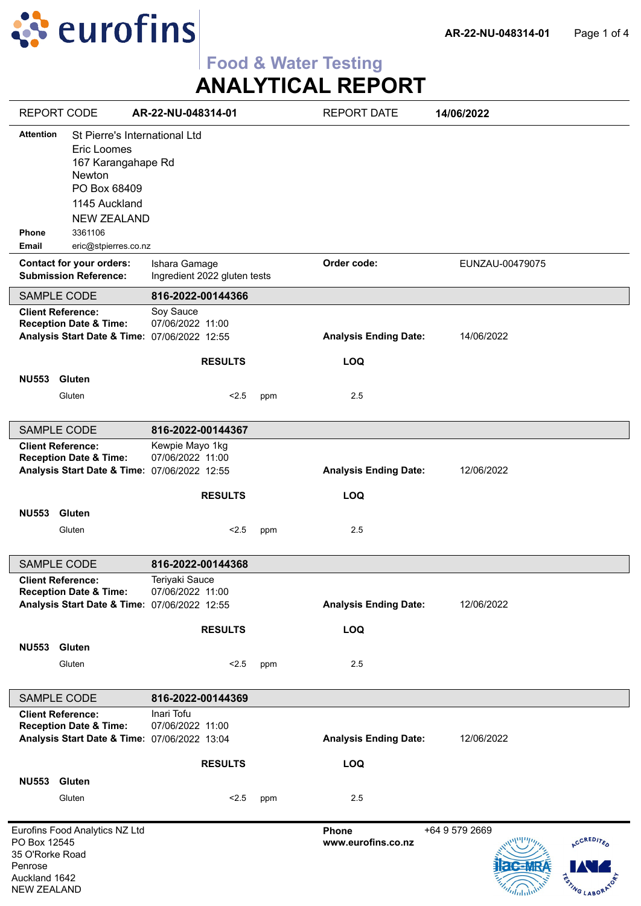

# **Food & Water Testing**

**ANALYTICAL REPORT**

| <b>REPORT CODE</b>                                                                |                                                                                                                                                | AR-22-NU-048314-01                                                                  |     | <b>REPORT DATE</b>           | 14/06/2022                                            |
|-----------------------------------------------------------------------------------|------------------------------------------------------------------------------------------------------------------------------------------------|-------------------------------------------------------------------------------------|-----|------------------------------|-------------------------------------------------------|
| <b>Attention</b><br><b>Phone</b>                                                  | St Pierre's International Ltd<br>Eric Loomes<br>167 Karangahape Rd<br>Newton<br>PO Box 68409<br>1145 Auckland<br><b>NEW ZEALAND</b><br>3361106 |                                                                                     |     |                              |                                                       |
| <b>Email</b>                                                                      | eric@stpierres.co.nz                                                                                                                           |                                                                                     |     |                              |                                                       |
|                                                                                   | <b>Contact for your orders:</b><br><b>Submission Reference:</b>                                                                                | Ishara Gamage<br>Ingredient 2022 gluten tests                                       |     | Order code:                  | EUNZAU-00479075                                       |
| SAMPLE CODE                                                                       |                                                                                                                                                | 816-2022-00144366                                                                   |     |                              |                                                       |
| <b>Client Reference:</b>                                                          | <b>Reception Date &amp; Time:</b>                                                                                                              | Soy Sauce<br>07/06/2022 11:00<br>Analysis Start Date & Time: 07/06/2022 12:55       |     | <b>Analysis Ending Date:</b> | 14/06/2022                                            |
|                                                                                   |                                                                                                                                                | <b>RESULTS</b>                                                                      |     | <b>LOQ</b>                   |                                                       |
| <b>NU553</b>                                                                      | <b>Gluten</b><br>Gluten                                                                                                                        | < 2.5                                                                               | ppm | 2.5                          |                                                       |
| SAMPLE CODE                                                                       |                                                                                                                                                | 816-2022-00144367                                                                   |     |                              |                                                       |
| <b>Client Reference:</b>                                                          | <b>Reception Date &amp; Time:</b>                                                                                                              | Kewpie Mayo 1kg<br>07/06/2022 11:00<br>Analysis Start Date & Time: 07/06/2022 12:55 |     | <b>Analysis Ending Date:</b> | 12/06/2022                                            |
| <b>NU553</b>                                                                      | Gluten                                                                                                                                         | <b>RESULTS</b>                                                                      |     | <b>LOQ</b>                   |                                                       |
|                                                                                   | Gluten                                                                                                                                         | < 2.5                                                                               | ppm | 2.5                          |                                                       |
| SAMPLE CODE                                                                       |                                                                                                                                                | 816-2022-00144368                                                                   |     |                              |                                                       |
| <b>Client Reference:</b>                                                          | <b>Reception Date &amp; Time:</b>                                                                                                              | Teriyaki Sauce<br>07/06/2022 11:00<br>Analysis Start Date & Time: 07/06/2022 12:55  |     | <b>Analysis Ending Date:</b> | 12/06/2022                                            |
|                                                                                   |                                                                                                                                                | <b>RESULTS</b>                                                                      |     | LOQ                          |                                                       |
| NU553 Gluten                                                                      | Gluten                                                                                                                                         | < 2.5                                                                               | ppm | 2.5                          |                                                       |
| SAMPLE CODE                                                                       |                                                                                                                                                | 816-2022-00144369                                                                   |     |                              |                                                       |
| <b>Client Reference:</b>                                                          | <b>Reception Date &amp; Time:</b>                                                                                                              | Inari Tofu<br>07/06/2022 11:00<br>Analysis Start Date & Time: 07/06/2022 13:04      |     | <b>Analysis Ending Date:</b> | 12/06/2022                                            |
| <b>NU553</b>                                                                      | Gluten                                                                                                                                         | <b>RESULTS</b>                                                                      |     | LOQ                          |                                                       |
|                                                                                   | Gluten                                                                                                                                         | < 2.5                                                                               | ppm | 2.5                          |                                                       |
| PO Box 12545<br>35 O'Rorke Road<br>Penrose<br>Auckland 1642<br><b>NEW ZEALAND</b> | Eurofins Food Analytics NZ Ltd                                                                                                                 |                                                                                     |     | Phone<br>www.eurofins.co.nz  | +64 9 579 2669<br>ACCREDITED<br><b>RSTING LABORAT</b> |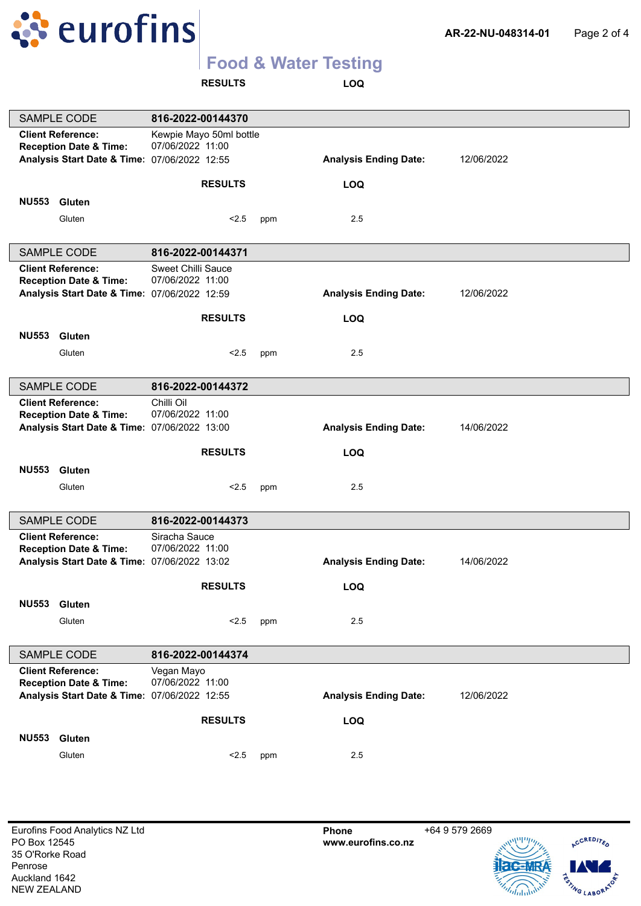

**RESULTS LOQ**

| <b>Client Reference:</b><br>Kewpie Mayo 50ml bottle<br>07/06/2022 11:00<br><b>Reception Date &amp; Time:</b><br>Analysis Start Date & Time: 07/06/2022 12:55<br><b>Analysis Ending Date:</b><br>12/06/2022<br>LOQ<br><b>RESULTS</b><br><b>NU553</b><br>Gluten<br>2.5<br>Gluten<br>< 2.5<br>ppm<br><b>SAMPLE CODE</b><br>816-2022-00144371<br><b>Sweet Chilli Sauce</b><br><b>Client Reference:</b><br>07/06/2022 11:00<br><b>Reception Date &amp; Time:</b><br>Analysis Start Date & Time: 07/06/2022 12:59<br><b>Analysis Ending Date:</b><br>12/06/2022<br><b>RESULTS</b><br><b>LOQ</b><br><b>NU553</b><br>Gluten<br>< 2.5<br>2.5<br>Gluten<br>ppm<br><b>SAMPLE CODE</b><br>816-2022-00144372<br>Chilli Oil<br><b>Client Reference:</b><br>07/06/2022 11:00<br><b>Reception Date &amp; Time:</b><br>Analysis Start Date & Time: 07/06/2022 13:00<br><b>Analysis Ending Date:</b><br>14/06/2022<br><b>RESULTS</b><br>LOQ<br><b>NU553</b><br><b>Gluten</b><br>Gluten<br>2.5<br>< 2.5<br>ppm<br>SAMPLE CODE<br>816-2022-00144373<br>Siracha Sauce<br><b>Client Reference:</b><br>07/06/2022 11:00<br><b>Reception Date &amp; Time:</b><br>Analysis Start Date & Time: 07/06/2022 13:02<br><b>Analysis Ending Date:</b><br>14/06/2022 |                        |                   |     |     |  |
|-------------------------------------------------------------------------------------------------------------------------------------------------------------------------------------------------------------------------------------------------------------------------------------------------------------------------------------------------------------------------------------------------------------------------------------------------------------------------------------------------------------------------------------------------------------------------------------------------------------------------------------------------------------------------------------------------------------------------------------------------------------------------------------------------------------------------------------------------------------------------------------------------------------------------------------------------------------------------------------------------------------------------------------------------------------------------------------------------------------------------------------------------------------------------------------------------------------------------------------|------------------------|-------------------|-----|-----|--|
|                                                                                                                                                                                                                                                                                                                                                                                                                                                                                                                                                                                                                                                                                                                                                                                                                                                                                                                                                                                                                                                                                                                                                                                                                                     | <b>SAMPLE CODE</b>     | 816-2022-00144370 |     |     |  |
|                                                                                                                                                                                                                                                                                                                                                                                                                                                                                                                                                                                                                                                                                                                                                                                                                                                                                                                                                                                                                                                                                                                                                                                                                                     |                        |                   |     |     |  |
|                                                                                                                                                                                                                                                                                                                                                                                                                                                                                                                                                                                                                                                                                                                                                                                                                                                                                                                                                                                                                                                                                                                                                                                                                                     |                        |                   |     |     |  |
|                                                                                                                                                                                                                                                                                                                                                                                                                                                                                                                                                                                                                                                                                                                                                                                                                                                                                                                                                                                                                                                                                                                                                                                                                                     |                        |                   |     |     |  |
|                                                                                                                                                                                                                                                                                                                                                                                                                                                                                                                                                                                                                                                                                                                                                                                                                                                                                                                                                                                                                                                                                                                                                                                                                                     |                        |                   |     |     |  |
|                                                                                                                                                                                                                                                                                                                                                                                                                                                                                                                                                                                                                                                                                                                                                                                                                                                                                                                                                                                                                                                                                                                                                                                                                                     |                        |                   |     |     |  |
|                                                                                                                                                                                                                                                                                                                                                                                                                                                                                                                                                                                                                                                                                                                                                                                                                                                                                                                                                                                                                                                                                                                                                                                                                                     |                        |                   |     |     |  |
|                                                                                                                                                                                                                                                                                                                                                                                                                                                                                                                                                                                                                                                                                                                                                                                                                                                                                                                                                                                                                                                                                                                                                                                                                                     |                        |                   |     |     |  |
|                                                                                                                                                                                                                                                                                                                                                                                                                                                                                                                                                                                                                                                                                                                                                                                                                                                                                                                                                                                                                                                                                                                                                                                                                                     |                        |                   |     |     |  |
|                                                                                                                                                                                                                                                                                                                                                                                                                                                                                                                                                                                                                                                                                                                                                                                                                                                                                                                                                                                                                                                                                                                                                                                                                                     |                        |                   |     |     |  |
|                                                                                                                                                                                                                                                                                                                                                                                                                                                                                                                                                                                                                                                                                                                                                                                                                                                                                                                                                                                                                                                                                                                                                                                                                                     |                        |                   |     |     |  |
|                                                                                                                                                                                                                                                                                                                                                                                                                                                                                                                                                                                                                                                                                                                                                                                                                                                                                                                                                                                                                                                                                                                                                                                                                                     |                        |                   |     |     |  |
|                                                                                                                                                                                                                                                                                                                                                                                                                                                                                                                                                                                                                                                                                                                                                                                                                                                                                                                                                                                                                                                                                                                                                                                                                                     |                        |                   |     |     |  |
|                                                                                                                                                                                                                                                                                                                                                                                                                                                                                                                                                                                                                                                                                                                                                                                                                                                                                                                                                                                                                                                                                                                                                                                                                                     |                        |                   |     |     |  |
|                                                                                                                                                                                                                                                                                                                                                                                                                                                                                                                                                                                                                                                                                                                                                                                                                                                                                                                                                                                                                                                                                                                                                                                                                                     |                        |                   |     |     |  |
|                                                                                                                                                                                                                                                                                                                                                                                                                                                                                                                                                                                                                                                                                                                                                                                                                                                                                                                                                                                                                                                                                                                                                                                                                                     |                        |                   |     |     |  |
|                                                                                                                                                                                                                                                                                                                                                                                                                                                                                                                                                                                                                                                                                                                                                                                                                                                                                                                                                                                                                                                                                                                                                                                                                                     |                        |                   |     |     |  |
|                                                                                                                                                                                                                                                                                                                                                                                                                                                                                                                                                                                                                                                                                                                                                                                                                                                                                                                                                                                                                                                                                                                                                                                                                                     |                        |                   |     |     |  |
|                                                                                                                                                                                                                                                                                                                                                                                                                                                                                                                                                                                                                                                                                                                                                                                                                                                                                                                                                                                                                                                                                                                                                                                                                                     |                        |                   |     |     |  |
|                                                                                                                                                                                                                                                                                                                                                                                                                                                                                                                                                                                                                                                                                                                                                                                                                                                                                                                                                                                                                                                                                                                                                                                                                                     |                        |                   |     |     |  |
|                                                                                                                                                                                                                                                                                                                                                                                                                                                                                                                                                                                                                                                                                                                                                                                                                                                                                                                                                                                                                                                                                                                                                                                                                                     |                        |                   |     |     |  |
|                                                                                                                                                                                                                                                                                                                                                                                                                                                                                                                                                                                                                                                                                                                                                                                                                                                                                                                                                                                                                                                                                                                                                                                                                                     |                        |                   |     |     |  |
|                                                                                                                                                                                                                                                                                                                                                                                                                                                                                                                                                                                                                                                                                                                                                                                                                                                                                                                                                                                                                                                                                                                                                                                                                                     |                        |                   |     |     |  |
|                                                                                                                                                                                                                                                                                                                                                                                                                                                                                                                                                                                                                                                                                                                                                                                                                                                                                                                                                                                                                                                                                                                                                                                                                                     |                        |                   |     |     |  |
|                                                                                                                                                                                                                                                                                                                                                                                                                                                                                                                                                                                                                                                                                                                                                                                                                                                                                                                                                                                                                                                                                                                                                                                                                                     |                        |                   |     |     |  |
|                                                                                                                                                                                                                                                                                                                                                                                                                                                                                                                                                                                                                                                                                                                                                                                                                                                                                                                                                                                                                                                                                                                                                                                                                                     |                        |                   |     |     |  |
|                                                                                                                                                                                                                                                                                                                                                                                                                                                                                                                                                                                                                                                                                                                                                                                                                                                                                                                                                                                                                                                                                                                                                                                                                                     |                        |                   |     |     |  |
|                                                                                                                                                                                                                                                                                                                                                                                                                                                                                                                                                                                                                                                                                                                                                                                                                                                                                                                                                                                                                                                                                                                                                                                                                                     |                        |                   |     |     |  |
|                                                                                                                                                                                                                                                                                                                                                                                                                                                                                                                                                                                                                                                                                                                                                                                                                                                                                                                                                                                                                                                                                                                                                                                                                                     |                        |                   |     |     |  |
|                                                                                                                                                                                                                                                                                                                                                                                                                                                                                                                                                                                                                                                                                                                                                                                                                                                                                                                                                                                                                                                                                                                                                                                                                                     |                        |                   |     |     |  |
|                                                                                                                                                                                                                                                                                                                                                                                                                                                                                                                                                                                                                                                                                                                                                                                                                                                                                                                                                                                                                                                                                                                                                                                                                                     |                        |                   |     |     |  |
|                                                                                                                                                                                                                                                                                                                                                                                                                                                                                                                                                                                                                                                                                                                                                                                                                                                                                                                                                                                                                                                                                                                                                                                                                                     |                        |                   |     |     |  |
|                                                                                                                                                                                                                                                                                                                                                                                                                                                                                                                                                                                                                                                                                                                                                                                                                                                                                                                                                                                                                                                                                                                                                                                                                                     |                        | <b>RESULTS</b>    |     | LOQ |  |
|                                                                                                                                                                                                                                                                                                                                                                                                                                                                                                                                                                                                                                                                                                                                                                                                                                                                                                                                                                                                                                                                                                                                                                                                                                     | <b>NU553</b><br>Gluten |                   |     |     |  |
|                                                                                                                                                                                                                                                                                                                                                                                                                                                                                                                                                                                                                                                                                                                                                                                                                                                                                                                                                                                                                                                                                                                                                                                                                                     | Gluten                 | < 2.5             | ppm | 2.5 |  |
|                                                                                                                                                                                                                                                                                                                                                                                                                                                                                                                                                                                                                                                                                                                                                                                                                                                                                                                                                                                                                                                                                                                                                                                                                                     |                        |                   |     |     |  |
| SAMPLE CODE<br>816-2022-00144374                                                                                                                                                                                                                                                                                                                                                                                                                                                                                                                                                                                                                                                                                                                                                                                                                                                                                                                                                                                                                                                                                                                                                                                                    |                        |                   |     |     |  |
| <b>Client Reference:</b><br>Vegan Mayo                                                                                                                                                                                                                                                                                                                                                                                                                                                                                                                                                                                                                                                                                                                                                                                                                                                                                                                                                                                                                                                                                                                                                                                              |                        |                   |     |     |  |
| 07/06/2022 11:00<br><b>Reception Date &amp; Time:</b>                                                                                                                                                                                                                                                                                                                                                                                                                                                                                                                                                                                                                                                                                                                                                                                                                                                                                                                                                                                                                                                                                                                                                                               |                        |                   |     |     |  |
| Analysis Start Date & Time: 07/06/2022 12:55<br><b>Analysis Ending Date:</b><br>12/06/2022                                                                                                                                                                                                                                                                                                                                                                                                                                                                                                                                                                                                                                                                                                                                                                                                                                                                                                                                                                                                                                                                                                                                          |                        |                   |     |     |  |
| <b>RESULTS</b><br>LOQ                                                                                                                                                                                                                                                                                                                                                                                                                                                                                                                                                                                                                                                                                                                                                                                                                                                                                                                                                                                                                                                                                                                                                                                                               |                        |                   |     |     |  |
|                                                                                                                                                                                                                                                                                                                                                                                                                                                                                                                                                                                                                                                                                                                                                                                                                                                                                                                                                                                                                                                                                                                                                                                                                                     |                        |                   |     |     |  |
| <b>NU553</b><br><b>Gluten</b>                                                                                                                                                                                                                                                                                                                                                                                                                                                                                                                                                                                                                                                                                                                                                                                                                                                                                                                                                                                                                                                                                                                                                                                                       |                        |                   |     |     |  |
|                                                                                                                                                                                                                                                                                                                                                                                                                                                                                                                                                                                                                                                                                                                                                                                                                                                                                                                                                                                                                                                                                                                                                                                                                                     |                        |                   |     |     |  |
|                                                                                                                                                                                                                                                                                                                                                                                                                                                                                                                                                                                                                                                                                                                                                                                                                                                                                                                                                                                                                                                                                                                                                                                                                                     |                        |                   |     |     |  |
|                                                                                                                                                                                                                                                                                                                                                                                                                                                                                                                                                                                                                                                                                                                                                                                                                                                                                                                                                                                                                                                                                                                                                                                                                                     |                        |                   |     |     |  |
|                                                                                                                                                                                                                                                                                                                                                                                                                                                                                                                                                                                                                                                                                                                                                                                                                                                                                                                                                                                                                                                                                                                                                                                                                                     |                        |                   |     |     |  |
|                                                                                                                                                                                                                                                                                                                                                                                                                                                                                                                                                                                                                                                                                                                                                                                                                                                                                                                                                                                                                                                                                                                                                                                                                                     |                        |                   |     |     |  |
|                                                                                                                                                                                                                                                                                                                                                                                                                                                                                                                                                                                                                                                                                                                                                                                                                                                                                                                                                                                                                                                                                                                                                                                                                                     |                        |                   |     |     |  |
|                                                                                                                                                                                                                                                                                                                                                                                                                                                                                                                                                                                                                                                                                                                                                                                                                                                                                                                                                                                                                                                                                                                                                                                                                                     |                        |                   |     |     |  |
|                                                                                                                                                                                                                                                                                                                                                                                                                                                                                                                                                                                                                                                                                                                                                                                                                                                                                                                                                                                                                                                                                                                                                                                                                                     |                        |                   |     |     |  |
|                                                                                                                                                                                                                                                                                                                                                                                                                                                                                                                                                                                                                                                                                                                                                                                                                                                                                                                                                                                                                                                                                                                                                                                                                                     |                        |                   |     |     |  |
|                                                                                                                                                                                                                                                                                                                                                                                                                                                                                                                                                                                                                                                                                                                                                                                                                                                                                                                                                                                                                                                                                                                                                                                                                                     |                        |                   |     |     |  |
|                                                                                                                                                                                                                                                                                                                                                                                                                                                                                                                                                                                                                                                                                                                                                                                                                                                                                                                                                                                                                                                                                                                                                                                                                                     |                        |                   |     |     |  |
| Gluten<br>< 2.5<br>2.5<br>ppm                                                                                                                                                                                                                                                                                                                                                                                                                                                                                                                                                                                                                                                                                                                                                                                                                                                                                                                                                                                                                                                                                                                                                                                                       |                        |                   |     |     |  |



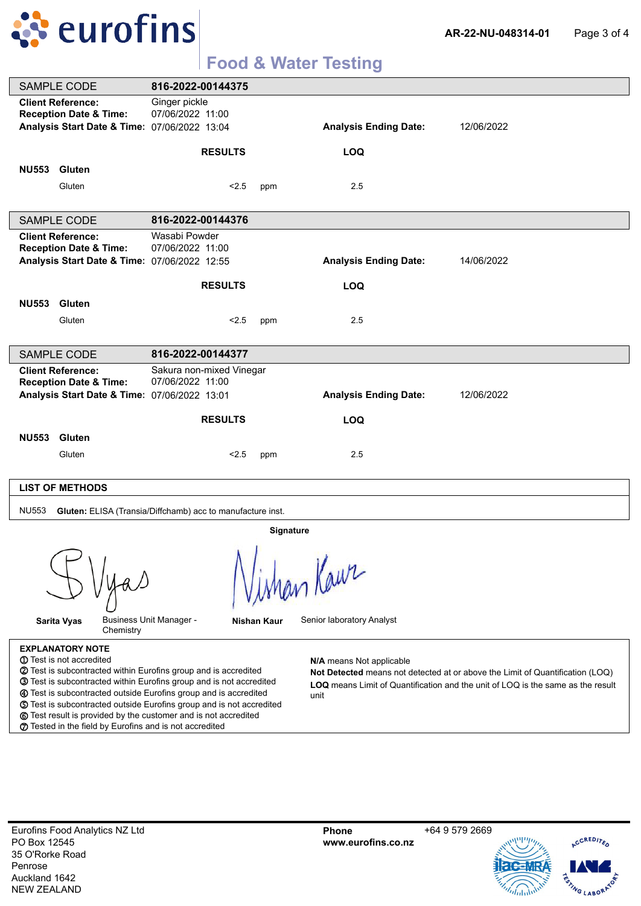

| <b>SAMPLE CODE</b>                                                                                                                                                                                                                                                                                                                                      | 816-2022-00144375                                          |             |                                  |                                                                                                                                                                  |
|---------------------------------------------------------------------------------------------------------------------------------------------------------------------------------------------------------------------------------------------------------------------------------------------------------------------------------------------------------|------------------------------------------------------------|-------------|----------------------------------|------------------------------------------------------------------------------------------------------------------------------------------------------------------|
| <b>Client Reference:</b><br><b>Reception Date &amp; Time:</b><br>Analysis Start Date & Time: 07/06/2022 13:04                                                                                                                                                                                                                                           | Ginger pickle<br>07/06/2022 11:00                          |             | <b>Analysis Ending Date:</b>     | 12/06/2022                                                                                                                                                       |
|                                                                                                                                                                                                                                                                                                                                                         | <b>RESULTS</b>                                             |             | <b>LOQ</b>                       |                                                                                                                                                                  |
| <b>NU553</b><br>Gluten                                                                                                                                                                                                                                                                                                                                  |                                                            |             |                                  |                                                                                                                                                                  |
| Gluten                                                                                                                                                                                                                                                                                                                                                  | < 2.5                                                      | ppm         | 2.5                              |                                                                                                                                                                  |
|                                                                                                                                                                                                                                                                                                                                                         |                                                            |             |                                  |                                                                                                                                                                  |
| <b>SAMPLE CODE</b>                                                                                                                                                                                                                                                                                                                                      | 816-2022-00144376                                          |             |                                  |                                                                                                                                                                  |
| <b>Client Reference:</b><br><b>Reception Date &amp; Time:</b><br>Analysis Start Date & Time: 07/06/2022 12:55                                                                                                                                                                                                                                           | Wasabi Powder<br>07/06/2022 11:00                          |             | <b>Analysis Ending Date:</b>     | 14/06/2022                                                                                                                                                       |
|                                                                                                                                                                                                                                                                                                                                                         | <b>RESULTS</b>                                             |             | <b>LOQ</b>                       |                                                                                                                                                                  |
| <b>NU553</b><br>Gluten                                                                                                                                                                                                                                                                                                                                  |                                                            |             |                                  |                                                                                                                                                                  |
| Gluten                                                                                                                                                                                                                                                                                                                                                  | < 2.5                                                      | ppm         | 2.5                              |                                                                                                                                                                  |
|                                                                                                                                                                                                                                                                                                                                                         |                                                            |             |                                  |                                                                                                                                                                  |
| <b>SAMPLE CODE</b>                                                                                                                                                                                                                                                                                                                                      | 816-2022-00144377                                          |             |                                  |                                                                                                                                                                  |
| <b>Client Reference:</b><br><b>Reception Date &amp; Time:</b>                                                                                                                                                                                                                                                                                           | Sakura non-mixed Vinegar<br>07/06/2022 11:00               |             |                                  |                                                                                                                                                                  |
| Analysis Start Date & Time: 07/06/2022 13:01                                                                                                                                                                                                                                                                                                            |                                                            |             | <b>Analysis Ending Date:</b>     | 12/06/2022                                                                                                                                                       |
|                                                                                                                                                                                                                                                                                                                                                         | <b>RESULTS</b>                                             |             | <b>LOQ</b>                       |                                                                                                                                                                  |
| <b>NU553</b><br>Gluten                                                                                                                                                                                                                                                                                                                                  |                                                            |             |                                  |                                                                                                                                                                  |
| Gluten                                                                                                                                                                                                                                                                                                                                                  | < 2.5                                                      | ppm         | 2.5                              |                                                                                                                                                                  |
|                                                                                                                                                                                                                                                                                                                                                         |                                                            |             |                                  |                                                                                                                                                                  |
| <b>LIST OF METHODS</b>                                                                                                                                                                                                                                                                                                                                  |                                                            |             |                                  |                                                                                                                                                                  |
| <b>NU553</b>                                                                                                                                                                                                                                                                                                                                            | Gluten: ELISA (Transia/Diffchamb) acc to manufacture inst. |             |                                  |                                                                                                                                                                  |
|                                                                                                                                                                                                                                                                                                                                                         |                                                            | Signature   |                                  |                                                                                                                                                                  |
|                                                                                                                                                                                                                                                                                                                                                         | A.                                                         |             | Man Kaur                         |                                                                                                                                                                  |
| Sarita Vyas<br>Chemistry                                                                                                                                                                                                                                                                                                                                | <b>Business Unit Manager -</b>                             | Nishan Kaur | Senior laboratory Analyst        |                                                                                                                                                                  |
| <b>EXPLANATORY NOTE</b><br>1 Test is not accredited<br>2 Test is subcontracted within Eurofins group and is accredited<br><b>3</b> Test is subcontracted within Eurofins group and is not accredited<br>4 Test is subcontracted outside Eurofins group and is accredited<br><b>5</b> Test is subcontracted outside Eurofins group and is not accredited |                                                            |             | N/A means Not applicable<br>unit | Not Detected means not detected at or above the Limit of Quantification (LOQ)<br>LOQ means Limit of Quantification and the unit of LOQ is the same as the result |

**o** Test result is provided by the customer and is not accredited **p** Tested in the field by Eurofins and is not accredited

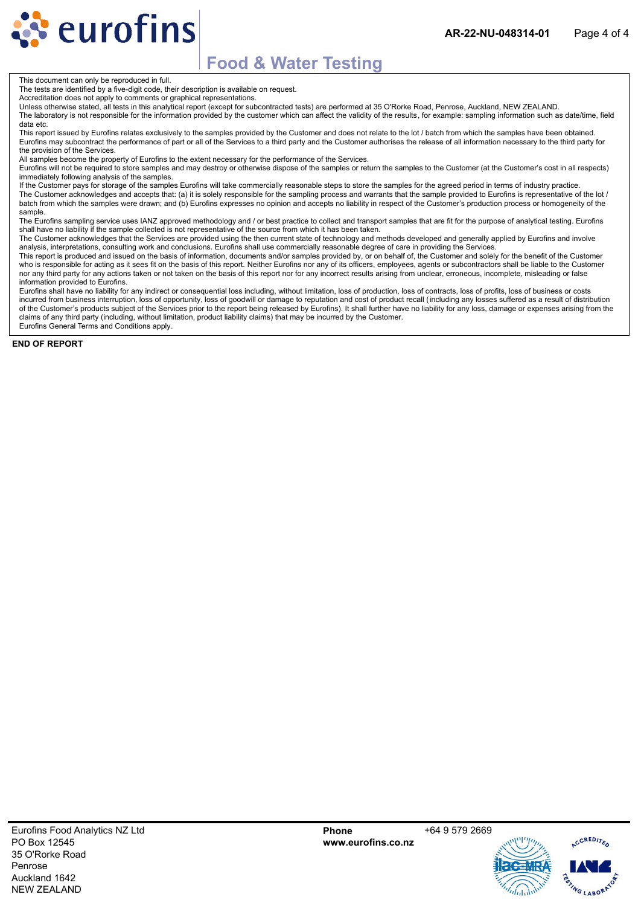This document can only be reproduced in full.

**Reurofins** 

The tests are identified by a five-digit code, their description is available on request.

Accreditation does not apply to comments or graphical representations.

Unless otherwise stated, all tests in this analytical report (except for subcontracted tests) are performed at 35 O'Rorke Road, Penrose, Auckland, NEW ZEALAND. The laboratory is not responsible for the information provided by the customer which can affect the validity of the results, for example: sampling information such as date/time, field data etc.

This report issued by Eurofins relates exclusively to the samples provided by the Customer and does not relate to the lot / batch from which the samples have been obtained. Eurofins may subcontract the performance of part or all of the Services to a third party and the Customer authorises the release of all information necessary to the third party for the provision of the Services.

All samples become the property of Eurofins to the extent necessary for the performance of the Services.

Eurofins will not be required to store samples and may destroy or otherwise dispose of the samples or return the samples to the Customer (at the Customer's cost in all respects) immediately following analysis of the samples.

If the Customer pays for storage of the samples Eurofins will take commercially reasonable steps to store the samples for the agreed period in terms of industry practice. The Customer acknowledges and accepts that: (a) it is solely responsible for the sampling process and warrants that the sample provided to Eurofins is representative of the lot / batch from which the samples were drawn; and (b) Eurofins expresses no opinion and accepts no liability in respect of the Customer's production process or homogeneity of the sample.

The Eurofins sampling service uses IANZ approved methodology and / or best practice to collect and transport samples that are fit for the purpose of analytical testing. Eurofins shall have no liability if the sample collected is not representative of the source from which it has been taken.

The Customer acknowledges that the Services are provided using the then current state of technology and methods developed and generally applied by Eurofins and involve analysis, interpretations, consulting work and conclusions. Eurofins shall use commercially reasonable degree of care in providing the Services.

This report is produced and issued on the basis of information, documents and/or samples provided by, or on behalf of, the Customer and solely for the benefit of the Customer who is responsible for acting as it sees fit on the basis of this report. Neither Eurofins nor any of its officers, employees, agents or subcontractors shall be liable to the Customer nor any third party for any actions taken or not taken on the basis of this report nor for any incorrect results arising from unclear, erroneous, incomplete, misleading or false information provided to Eurofins.

Eurofins shall have no liability for any indirect or consequential loss including, without limitation, loss of production, loss of contracts, loss of profits, loss of business or costs incurred from business interruption, loss of opportunity, loss of goodwill or damage to reputation and cost of product recall (including any losses suffered as a result of distribution of the Customer's products subject of the Services prior to the report being released by Eurofins). It shall further have no liability for any loss, damage or expenses arising from the claims of any third party (including, without limitation, product liability claims) that may be incurred by the Customer. Eurofins General Terms and Conditions apply.

**END OF REPORT**



CCREDITED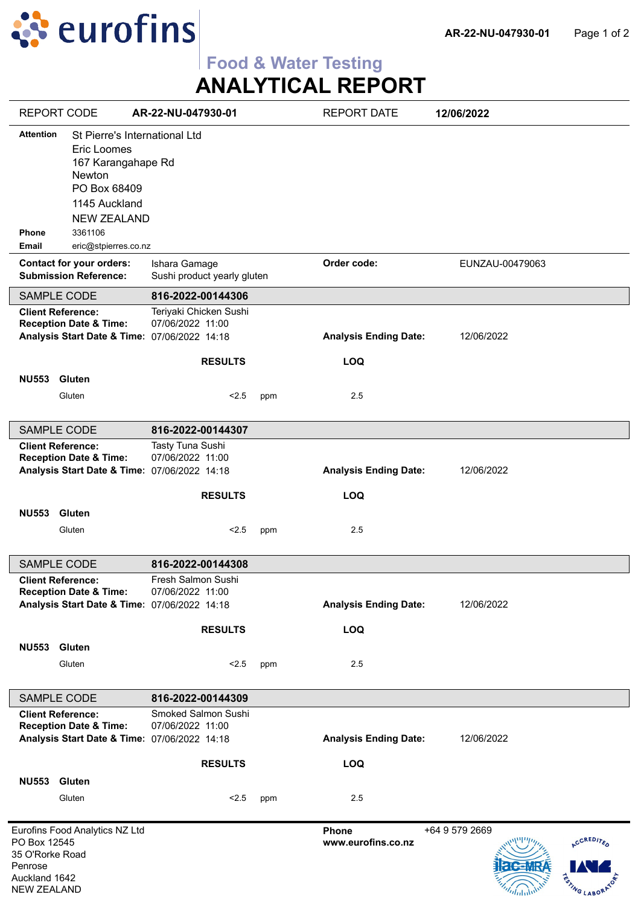

# **Food & Water Testing**

**ANALYTICAL REPORT**

| <b>REPORT CODE</b>                                                                |                                                                                                                                     | AR-22-NU-047930-01                                                                         |     | <b>REPORT DATE</b>           | 12/06/2022      |                                           |
|-----------------------------------------------------------------------------------|-------------------------------------------------------------------------------------------------------------------------------------|--------------------------------------------------------------------------------------------|-----|------------------------------|-----------------|-------------------------------------------|
| <b>Attention</b>                                                                  | St Pierre's International Ltd<br>Eric Loomes<br>167 Karangahape Rd<br>Newton<br>PO Box 68409<br>1145 Auckland<br><b>NEW ZEALAND</b> |                                                                                            |     |                              |                 |                                           |
| Phone<br><b>Email</b>                                                             | 3361106<br>eric@stpierres.co.nz                                                                                                     |                                                                                            |     |                              |                 |                                           |
|                                                                                   | <b>Contact for your orders:</b><br><b>Submission Reference:</b>                                                                     | Ishara Gamage<br>Sushi product yearly gluten                                               |     | Order code:                  | EUNZAU-00479063 |                                           |
| <b>SAMPLE CODE</b>                                                                |                                                                                                                                     | 816-2022-00144306                                                                          |     |                              |                 |                                           |
| <b>Client Reference:</b>                                                          | <b>Reception Date &amp; Time:</b>                                                                                                   | Teriyaki Chicken Sushi<br>07/06/2022 11:00<br>Analysis Start Date & Time: 07/06/2022 14:18 |     | <b>Analysis Ending Date:</b> | 12/06/2022      |                                           |
|                                                                                   |                                                                                                                                     | <b>RESULTS</b>                                                                             |     | <b>LOQ</b>                   |                 |                                           |
| <b>NU553</b>                                                                      | Gluten<br>Gluten                                                                                                                    | < 2.5                                                                                      | ppm | 2.5                          |                 |                                           |
| <b>SAMPLE CODE</b>                                                                |                                                                                                                                     | 816-2022-00144307                                                                          |     |                              |                 |                                           |
| <b>Client Reference:</b>                                                          | <b>Reception Date &amp; Time:</b>                                                                                                   | Tasty Tuna Sushi<br>07/06/2022 11:00<br>Analysis Start Date & Time: 07/06/2022 14:18       |     | <b>Analysis Ending Date:</b> | 12/06/2022      |                                           |
|                                                                                   |                                                                                                                                     | <b>RESULTS</b>                                                                             |     | <b>LOQ</b>                   |                 |                                           |
| <b>NU553</b>                                                                      | <b>Gluten</b><br>Gluten                                                                                                             | < 2.5                                                                                      | ppm | 2.5                          |                 |                                           |
| <b>SAMPLE CODE</b>                                                                |                                                                                                                                     | 816-2022-00144308                                                                          |     |                              |                 |                                           |
| <b>Client Reference:</b>                                                          | <b>Reception Date &amp; Time:</b>                                                                                                   | Fresh Salmon Sushi<br>07/06/2022 11:00<br>Analysis Start Date & Time: 07/06/2022 14:18     |     | <b>Analysis Ending Date:</b> | 12/06/2022      |                                           |
|                                                                                   |                                                                                                                                     | <b>RESULTS</b>                                                                             |     | <b>LOQ</b>                   |                 |                                           |
| <b>NU553</b>                                                                      | Gluten<br>Gluten                                                                                                                    | < 2.5                                                                                      | ppm | 2.5                          |                 |                                           |
| SAMPLE CODE                                                                       |                                                                                                                                     | 816-2022-00144309                                                                          |     |                              |                 |                                           |
| <b>Client Reference:</b>                                                          | <b>Reception Date &amp; Time:</b>                                                                                                   | Smoked Salmon Sushi<br>07/06/2022 11:00<br>Analysis Start Date & Time: 07/06/2022 14:18    |     | <b>Analysis Ending Date:</b> | 12/06/2022      |                                           |
|                                                                                   |                                                                                                                                     | <b>RESULTS</b>                                                                             |     | <b>LOQ</b>                   |                 |                                           |
| <b>NU553</b>                                                                      | Gluten<br>Gluten                                                                                                                    | < 2.5                                                                                      | ppm | 2.5                          |                 |                                           |
| PO Box 12545<br>35 O'Rorke Road<br>Penrose<br>Auckland 1642<br><b>NEW ZEALAND</b> | Eurofins Food Analytics NZ Ltd                                                                                                      |                                                                                            |     | Phone<br>www.eurofins.co.nz  | +64 9 579 2669  | <b>ACCREDITED</b><br><b>RSTING LABORA</b> |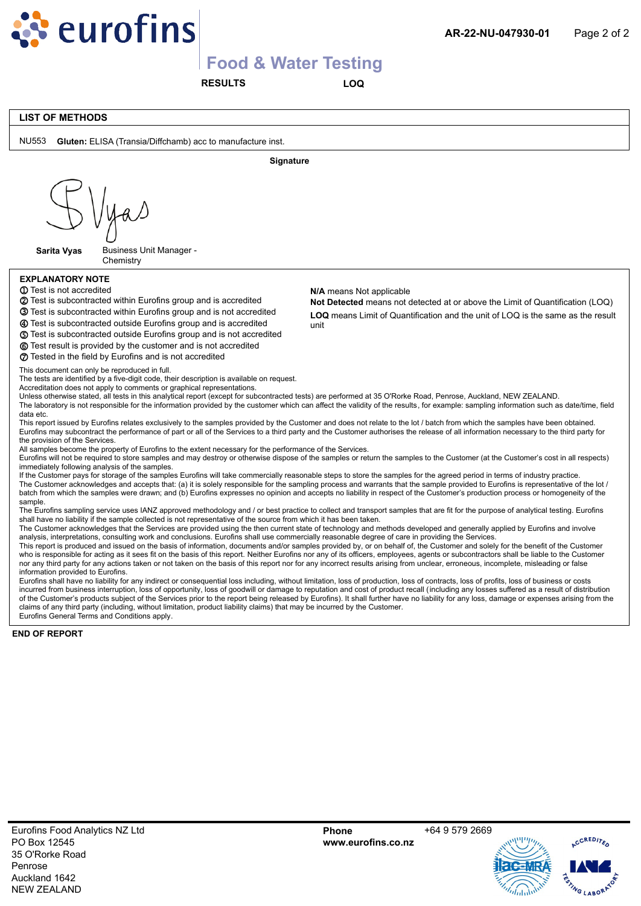

**RESULTS LOQ**

#### **LIST OF METHODS**

NU553 **Gluten:** ELISA (Transia/Diffchamb) acc to manufacture inst. **Signature Sarita Vyas** Business Unit Manager - **Chemistry EXPLANATORY NOTE** Test is subcontracted outside Eurofins group and is accredited **m 1** Test is not accredited **2** Test is subcontracted within Eurofins group and is accredited **Not Detect ③** Test is subcontracted within Eurofins group and is not accredited **LOO** means Li **n** Test is subcontracted outside Eurofins group and is not accredited **Not Detected** means not detected at or above the Limit of Quantification (LOQ) **N/A** means Not applicable **o** Test result is provided by the customer and is not accredited **p** Tested in the field by Eurofins and is not accredited **LOQ** means Limit of Quantification and the unit of LOQ is the same as the result unit This document can only be reproduced in full. The tests are identified by a five-digit code, their description is available on request. Accreditation does not apply to comments or graphical representations. Unless otherwise stated, all tests in this analytical report (except for subcontracted tests) are performed at 35 O'Rorke Road, Penrose, Auckland, NEW ZEALAND. The laboratory is not responsible for the information provided by the customer which can affect the validity of the results, for example: sampling information such as date/time, field data etc. This report issued by Eurofins relates exclusively to the samples provided by the Customer and does not relate to the lot / batch from which the samples have been obtained. Eurofins may subcontract the performance of part or all of the Services to a third party and the Customer authorises the release of all information necessary to the third party for the provision of the Services. All samples become the property of Eurofins to the extent necessary for the performance of the Services. Eurofins will not be required to store samples and may destroy or otherwise dispose of the samples or return the samples to the Customer (at the Customer's cost in all respects) immediately following analysis of the samples. If the Customer pays for storage of the samples Eurofins will take commercially reasonable steps to store the samples for the agreed period in terms of industry practice. The Customer acknowledges and accepts that: (a) it is solely responsible for the sampling process and warrants that the sample provided to Eurofins is representative of the lot / batch from which the samples were drawn; and (b) Eurofins expresses no opinion and accepts no liability in respect of the Customer's production process or homogeneity of the sample. The Eurofins sampling service uses IANZ approved methodology and / or best practice to collect and transport samples that are fit for the purpose of analytical testing. Eurofins shall have no liability if the sample collected is not representative of the source from which it has been taken. The Customer acknowledges that the Services are provided using the then current state of technology and methods developed and generally applied by Eurofins and involve analysis, interpretations, consulting work and conclusions. Eurofins shall use commercially reasonable degree of care in providing the Services. This report is produced and issued on the basis of information, documents and/or samples provided by, or on behalf of, the Customer and solely for the benefit of the Customer who is responsible for acting as it sees fit on the basis of this report. Neither Eurofins nor any of its officers, employees, agents or subcontractors shall be liable to the Customer nor any third party for any actions taken or not taken on the basis of this report nor for any incorrect results arising from unclear, erroneous, incomplete, misleading or false information provided to Eurofins. Eurofins shall have no liability for any indirect or consequential loss including, without limitation, loss of production, loss of contracts, loss of profits, loss of business or costs incurred from business interruption, loss of opportunity, loss of goodwill or damage to reputation and cost of product recall (including any losses suffered as a result of distribution of the Customer's products subject of the Services prior to the report being released by Eurofins). It shall further have no liability for any loss, damage or expenses arising from the claims of any third party (including, without limitation, product liability claims) that may be incurred by the Customer. Eurofins General Terms and Conditions apply. **END OF REPORT**

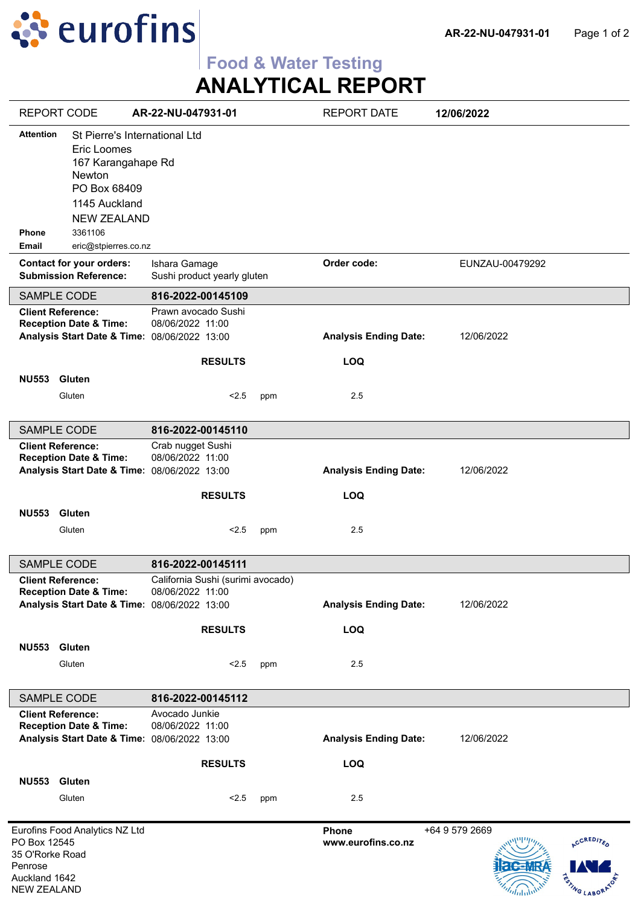

# **ANALYTICAL REPORT**

| <b>REPORT CODE</b>                                                                                                                                                                                                         | AR-22-NU-047931-01                                          |     | <b>REPORT DATE</b>           | 12/06/2022                                          |
|----------------------------------------------------------------------------------------------------------------------------------------------------------------------------------------------------------------------------|-------------------------------------------------------------|-----|------------------------------|-----------------------------------------------------|
| <b>Attention</b><br>St Pierre's International Ltd<br>Eric Loomes<br>167 Karangahape Rd<br>Newton<br>PO Box 68409<br>1145 Auckland<br><b>NEW ZEALAND</b><br>3361106<br><b>Phone</b><br><b>Email</b><br>eric@stpierres.co.nz |                                                             |     |                              |                                                     |
| <b>Contact for your orders:</b><br><b>Submission Reference:</b>                                                                                                                                                            | Ishara Gamage<br>Sushi product yearly gluten                |     | Order code:                  | EUNZAU-00479292                                     |
| SAMPLE CODE                                                                                                                                                                                                                | 816-2022-00145109                                           |     |                              |                                                     |
| <b>Client Reference:</b><br><b>Reception Date &amp; Time:</b><br><b>Analysis Start Date &amp; Time:</b>                                                                                                                    | Prawn avocado Sushi<br>08/06/2022 11:00<br>08/06/2022 13:00 |     | <b>Analysis Ending Date:</b> | 12/06/2022                                          |
|                                                                                                                                                                                                                            | <b>RESULTS</b>                                              |     | <b>LOQ</b>                   |                                                     |
| <b>NU553</b><br>Gluten<br>Gluten                                                                                                                                                                                           | < 2.5                                                       | ppm | 2.5                          |                                                     |
| SAMPLE CODE                                                                                                                                                                                                                | 816-2022-00145110                                           |     |                              |                                                     |
| <b>Client Reference:</b><br><b>Reception Date &amp; Time:</b><br><b>Analysis Start Date &amp; Time:</b>                                                                                                                    | Crab nugget Sushi<br>08/06/2022 11:00<br>08/06/2022 13:00   |     | <b>Analysis Ending Date:</b> | 12/06/2022                                          |
|                                                                                                                                                                                                                            |                                                             |     |                              |                                                     |
|                                                                                                                                                                                                                            | <b>RESULTS</b>                                              |     | <b>LOQ</b>                   |                                                     |
| <b>NU553</b><br><b>Gluten</b><br>Gluten                                                                                                                                                                                    | < 2.5                                                       | ppm | 2.5                          |                                                     |
| <b>SAMPLE CODE</b>                                                                                                                                                                                                         | 816-2022-00145111                                           |     |                              |                                                     |
| <b>Client Reference:</b><br><b>Reception Date &amp; Time:</b><br>Analysis Start Date & Time: 08/06/2022 13:00                                                                                                              | California Sushi (surimi avocado)<br>08/06/2022 11:00       |     | <b>Analysis Ending Date:</b> | 12/06/2022                                          |
|                                                                                                                                                                                                                            | <b>RESULTS</b>                                              |     | <b>LOQ</b>                   |                                                     |
| NU553 Gluten                                                                                                                                                                                                               |                                                             |     |                              |                                                     |
| Gluten                                                                                                                                                                                                                     | < 2.5                                                       | ppm | 2.5                          |                                                     |
| SAMPLE CODE                                                                                                                                                                                                                | 816-2022-00145112                                           |     |                              |                                                     |
| <b>Client Reference:</b><br><b>Reception Date &amp; Time:</b><br>Analysis Start Date & Time: 08/06/2022 13:00                                                                                                              | Avocado Junkie<br>08/06/2022 11:00                          |     | <b>Analysis Ending Date:</b> | 12/06/2022                                          |
|                                                                                                                                                                                                                            | <b>RESULTS</b>                                              |     | <b>LOQ</b>                   |                                                     |
| <b>NU553</b><br><b>Gluten</b>                                                                                                                                                                                              |                                                             |     |                              |                                                     |
| Gluten                                                                                                                                                                                                                     | < 2.5                                                       | ppm | 2.5                          |                                                     |
| Eurofins Food Analytics NZ Ltd<br>PO Box 12545<br>35 O'Rorke Road<br>Penrose<br>Auckland 1642<br><b>NEW ZEALAND</b>                                                                                                        |                                                             |     | Phone<br>www.eurofins.co.nz  | +64 9 579 2669<br><b>ACCREDITED</b><br>STING LABORA |